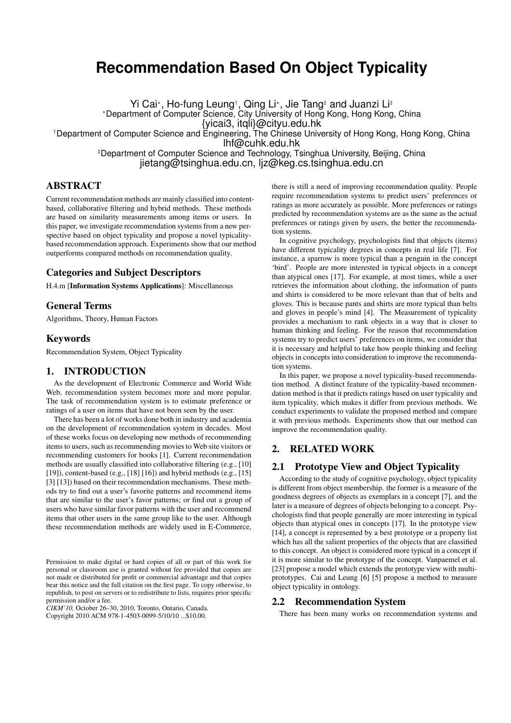# **Recommendation Based On Object Typicality**

Yi Cai\*, Ho-fung Leung†, Qing Li\*, Jie Tang‡ and Juanzi Li‡ ?Department of Computer Science, City University of Hong Kong, Hong Kong, China {yicai3, itqli}@cityu.edu.hk †Department of Computer Science and Engineering, The Chinese University of Hong Kong, Hong Kong, China lhf@cuhk.edu.hk

> <sup>#</sup>Department of Computer Science and Technology, Tsinghua University, Beijing, China jietang@tsinghua.edu.cn, ljz@keg.cs.tsinghua.edu.cn

# **ABSTRACT**

Current recommendation methods are mainly classified into contentbased, collaborative filtering and hybrid methods. These methods are based on similarity measurements among items or users. In this paper, we investigate recommendation systems from a new perspective based on object typicality and propose a novel typicalitybased recommendation approach. Experiments show that our method outperforms compared methods on recommendation quality.

# Categories and Subject Descriptors

H.4.m [Information Systems Applications]: Miscellaneous

## General Terms

Algorithms, Theory, Human Factors

#### Keywords

Recommendation System, Object Typicality

# 1. INTRODUCTION

As the development of Electronic Commerce and World Wide Web, recommendation system becomes more and more popular. The task of recommendation system is to estimate preference or ratings of a user on items that have not been seen by the user.

There has been a lot of works done both in industry and academia on the development of recommendation system in decades. Most of these works focus on developing new methods of recommending items to users, such as recommending movies to Web site visitors or recommending customers for books [1]. Current recommendation methods are usually classified into collaborative filtering (e.g., [10] [19]), content-based (e.g., [18] [16]) and hybrid methods (e.g., [15] [3] [13]) based on their recommendation mechanisms. These methods try to find out a user's favorite patterns and recommend items that are similar to the user's favor patterns; or find out a group of users who have similar favor patterns with the user and recommend items that other users in the same group like to the user. Although these recommendation methods are widely used in E-Commerce,

*CIKM'10,* October 26–30, 2010, Toronto, Ontario, Canada. Copyright 2010 ACM 978-1-4503-0099-5/10/10 ...\$10.00.

there is still a need of improving recommendation quality. People require recommendation systems to predict users' preferences or ratings as more accurately as possible. More preferences or ratings predicted by recommendation systems are as the same as the actual preferences or ratings given by users, the better the recommendation systems.

In cognitive psychology, psychologists find that objects (items) have different typicality degrees in concepts in real life [7]. For instance, a sparrow is more typical than a penguin in the concept 'bird'. People are more interested in typical objects in a concept than atypical ones [17]. For example, at most times, while a user retrieves the information about clothing, the information of pants and shirts is considered to be more relevant than that of belts and gloves. This is because pants and shirts are more typical than belts and gloves in people's mind [4]. The Measurement of typicality provides a mechanism to rank objects in a way that is closer to human thinking and feeling. For the reason that recommendation systems try to predict users' preferences on items, we consider that it is necessary and helpful to take how people thinking and feeling objects in concepts into consideration to improve the recommendation systems.

In this paper, we propose a novel typicality-based recommendation method. A distinct feature of the typicality-based recommendation method is that it predicts ratings based on user typicality and item typicality, which makes it differ from previous methods. We conduct experiments to validate the proposed method and compare it with previous methods. Experiments show that our method can improve the recommendation quality.

# 2. RELATED WORK

## 2.1 Prototype View and Object Typicality

According to the study of cognitive psychology, object typicality is different from object membership. the former is a measure of the goodness degrees of objects as exemplars in a concept [7], and the later is a measure of degrees of objects belonging to a concept. Psychologists find that people generally are more interesting in typical objects than atypical ones in concepts [17]. In the prototype view [14], a concept is represented by a best prototype or a property list which has all the salient properties of the objects that are classified to this concept. An object is considered more typical in a concept if it is more similar to the prototype of the concept. Vanpaemel et al. [23] propose a model which extends the prototype view with multiprototypes. Cai and Leung [6] [5] propose a method to measure object typicality in ontology.

#### 2.2 Recommendation System

There has been many works on recommendation systems and

Permission to make digital or hard copies of all or part of this work for personal or classroom use is granted without fee provided that copies are not made or distributed for profit or commercial advantage and that copies bear this notice and the full citation on the first page. To copy otherwise, to republish, to post on servers or to redistribute to lists, requires prior specific permission and/or a fee.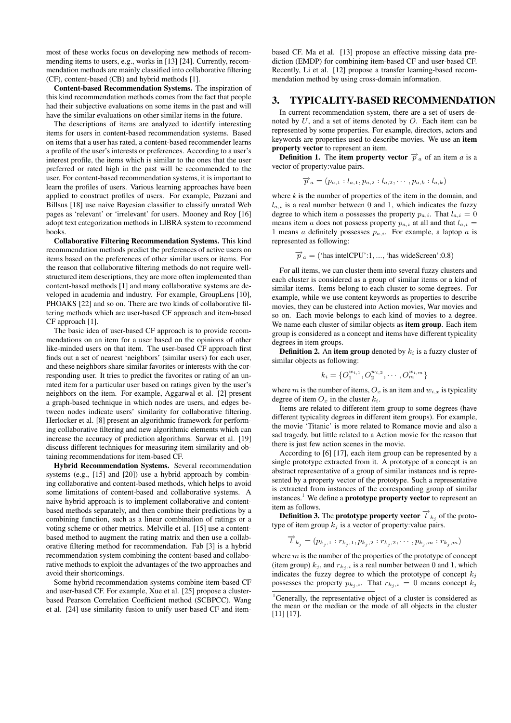most of these works focus on developing new methods of recommending items to users, e.g., works in [13] [24]. Currently, recommendation methods are mainly classified into collaborative filtering (CF), content-based (CB) and hybrid methods [1].

Content-based Recommendation Systems. The inspiration of this kind recommendation methods comes from the fact that people had their subjective evaluations on some items in the past and will have the similar evaluations on other similar items in the future.

The descriptions of items are analyzed to identify interesting items for users in content-based recommendation systems. Based on items that a user has rated, a content-based recommender learns a profile of the user's interests or preferences. According to a user's interest profile, the items which is similar to the ones that the user preferred or rated high in the past will be recommended to the user. For content-based recommendation systems, it is important to learn the profiles of users. Various learning approaches have been applied to construct profiles of users. For example, Pazzani and Billsus [18] use naive Bayesian classifier to classify unrated Web pages as 'relevant' or 'irrelevant' for users. Mooney and Roy [16] adopt text categorization methods in LIBRA system to recommend books.

Collaborative Filtering Recommendation Systems. This kind recommendation methods predict the preferences of active users on items based on the preferences of other similar users or items. For the reason that collaborative filtering methods do not require wellstructured item descriptions, they are more often implemented than content-based methods [1] and many collaborative systems are developed in academia and industry. For example, GroupLens [10], PHOAKS [22] and so on. There are two kinds of collaborative filtering methods which are user-based CF approach and item-based CF approach [1].

The basic idea of user-based CF approach is to provide recommendations on an item for a user based on the opinions of other like-minded users on that item. The user-based CF approach first finds out a set of nearest 'neighbors' (similar users) for each user, and these neighbors share similar favorites or interests with the corresponding user. It tries to predict the favorites or rating of an unrated item for a particular user based on ratings given by the user's neighbors on the item. For example, Aggarwal et al. [2] present a graph-based technique in which nodes are users, and edges between nodes indicate users' similarity for collaborative filtering. Herlocker et al. [8] present an algorithmic framework for performing collaborative filtering and new algorithmic elements which can increase the accuracy of prediction algorithms. Sarwar et al. [19] discuss different techniques for measuring item similarity and obtaining recommendations for item-based CF.

Hybrid Recommendation Systems. Several recommendation systems (e.g., [15] and [20]) use a hybrid approach by combining collaborative and content-based methods, which helps to avoid some limitations of content-based and collaborative systems. A naive hybrid approach is to implement collaborative and contentbased methods separately, and then combine their predictions by a combining function, such as a linear combination of ratings or a voting scheme or other metrics. Melville et al. [15] use a contentbased method to augment the rating matrix and then use a collaborative filtering method for recommendation. Fab [3] is a hybrid recommendation system combining the content-based and collaborative methods to exploit the advantages of the two approaches and avoid their shortcomings.

Some hybrid recommendation systems combine item-based CF and user-based CF. For example, Xue et al. [25] propose a clusterbased Pearson Correlation Coefficient method (SCBPCC). Wang et al. [24] use similarity fusion to unify user-based CF and itembased CF. Ma et al. [13] propose an effective missing data prediction (EMDP) for combining item-based CF and user-based CF. Recently, Li et al. [12] propose a transfer learning-based recommendation method by using cross-domain information.

### 3. TYPICALITY-BASED RECOMMENDATION

In current recommendation system, there are a set of users denoted by  $U$ , and a set of items denoted by  $O$ . Each item can be represented by some properties. For example, directors, actors and keywords are properties used to describe movies. We use an item property vector to represent an item.

**Definition 1.** The item property vector  $\overrightarrow{p}_a$  of an item *a* is a vector of property:value pairs.

$$
\overrightarrow{p}_a = (p_{a,1} : l_{a,1}, p_{a,2} : l_{a,2}, \cdots, p_{a,k} : l_{a,k})
$$

where *k* is the number of properties of the item in the domain, and  $l_{a,i}$  is a real number between 0 and 1, which indicates the fuzzy degree to which item a possesses the property  $p_{a,i}$ . That  $l_{a,i} = 0$ means item a does not possess property  $p_{a,i}$  at all and that  $l_{a,i} =$ 1 means a definitely possesses  $p_{a,i}$ . For example, a laptop a is represented as following:

$$
\overrightarrow{p}_a
$$
 = ('has intelCPU':1, ..., 'has wideScreen':0.8)

For all items, we can cluster them into several fuzzy clusters and each cluster is considered as a group of similar items or a kind of similar items. Items belong to each cluster to some degrees. For example, while we use content keywords as properties to describe movies, they can be clustered into Action movies, War movies and so on. Each movie belongs to each kind of movies to a degree. We name each cluster of similar objects as item group. Each item group is considered as a concept and items have different typicality degrees in item groups.

**Definition 2.** An item group denoted by  $k_i$  is a fuzzy cluster of similar objects as following:

$$
k_i = \{O_1^{w_{i,1}}, O_2^{w_{i,2}}, \cdots, O_m^{w_{i,m}}\}
$$

where m is the number of items,  $O_x$  is an item and  $w_{i,x}$  is typicality degree of item  $O_x$  in the cluster  $k_i$ .

Items are related to different item group to some degrees (have different typicality degrees in different item groups). For example, the movie 'Titanic' is more related to Romance movie and also a sad tragedy, but little related to a Action movie for the reason that there is just few action scenes in the movie.

According to [6] [17], each item group can be represented by a single prototype extracted from it. A prototype of a concept is an abstract representative of a group of similar instances and is represented by a property vector of the prototype. Such a representative is extracted from instances of the corresponding group of similar instances.<sup>1</sup> We define a **prototype property vector** to represent an item as follows.

**Definition 3.** The **prototype property vector**  $\overrightarrow{t}_{k_j}$  of the prototype of item group  $k_i$  is a vector of property: value pairs.

$$
\overrightarrow{t}_{k_j} = (p_{k_j,1} : r_{k_j,1}, p_{k_j,2} : r_{k_j,2}, \cdots, p_{k_j,m} : r_{k_j,m})
$$

where  $m$  is the number of the properties of the prototype of concept (item group)  $k_j$ , and  $r_{k_j,i}$  is a real number between 0 and 1, which indicates the fuzzy degree to which the prototype of concept  $k_j$ possesses the property  $p_{k_j,i}$ . That  $r_{k_j,i} = 0$  means concept  $k_j$ 

<sup>&</sup>lt;sup>1</sup>Generally, the representative object of a cluster is considered as the mean or the median or the mode of all objects in the cluster [11] [17].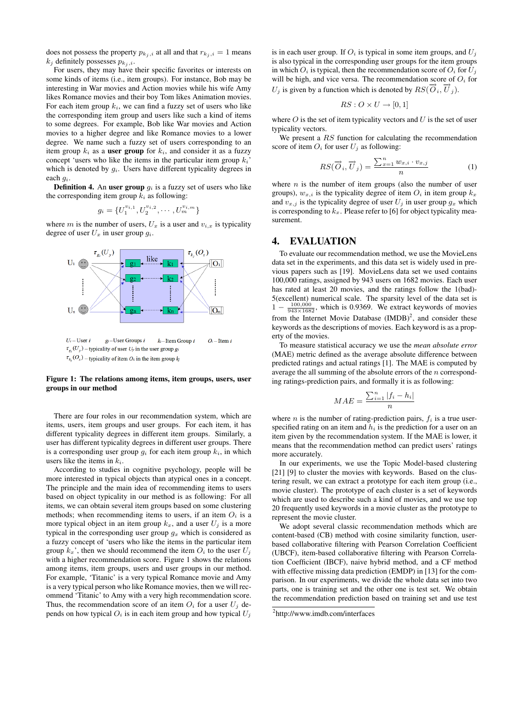does not possess the property  $p_{k_i, i}$  at all and that  $r_{k_i, i} = 1$  means  $k_i$  definitely possesses  $p_{k_i,i}$ .

For users, they may have their specific favorites or interests on some kinds of items (i.e., item groups). For instance, Bob may be interesting in War movies and Action movies while his wife Amy likes Romance movies and their boy Tom likes Animation movies. For each item group  $k_i$ , we can find a fuzzy set of users who like the corresponding item group and users like such a kind of items to some degrees. For example, Bob like War movies and Action movies to a higher degree and like Romance movies to a lower degree. We name such a fuzzy set of users corresponding to an item group  $k_i$  as a **user group** for  $k_i$ , and consider it as a fuzzy concept 'users who like the items in the particular item group  $k_i$ ' which is denoted by  $g_i$ . Users have different typicality degrees in each gi.

**Definition 4.** An user group  $q_i$  is a fuzzy set of users who like the corresponding item group  $k_i$  as following:

$$
g_i = \{U_1^{v_{i,1}}, U_2^{v_{i,2}}, \cdots, U_m^{v_{i,m}}\}
$$

where m is the number of users,  $U_x$  is a user and  $v_{i,x}$  is typicality degree of user  $U_x$  in user group  $q_i$ .



#### Figure 1: The relations among items, item groups, users, user groups in our method

There are four roles in our recommendation system, which are items, users, item groups and user groups. For each item, it has different typicality degrees in different item groups. Similarly, a user has different typicality degrees in different user groups. There is a corresponding user group  $g_i$  for each item group  $k_i$ , in which users like the items in  $k_i$ .

According to studies in cognitive psychology, people will be more interested in typical objects than atypical ones in a concept. The principle and the main idea of recommending items to users based on object typicality in our method is as following: For all items, we can obtain several item groups based on some clustering methods; when recommending items to users, if an item  $O_i$  is a more typical object in an item group  $k_x$ , and a user  $U_j$  is a more typical in the corresponding user group  $g_x$  which is considered as a fuzzy concept of 'users who like the items in the particular item group  $k_x$ ', then we should recommend the item  $O_i$  to the user  $U_i$ with a higher recommendation score. Figure 1 shows the relations among items, item groups, users and user groups in our method. For example, 'Titanic' is a very typical Romance movie and Amy is a very typical person who like Romance movies, then we will recommend 'Titanic' to Amy with a very high recommendation score. Thus, the recommendation score of an item  $O_i$  for a user  $U_j$  depends on how typical  $O_i$  is in each item group and how typical  $U_j$ 

is in each user group. If  $O_i$  is typical in some item groups, and  $U_i$ is also typical in the corresponding user groups for the item groups in which  $O_i$  is typical, then the recommendation score of  $O_i$  for  $U_j$ will be high, and vice versa. The recommendation score of  $O_i$  for  $U_j$  is given by a function which is denoted by  $RS(\vec{O}_i, \vec{U}_j)$ .

$$
RS: O \times U \to [0, 1]
$$

where  $O$  is the set of item typicality vectors and  $U$  is the set of user typicality vectors.

We present a  $RS$  function for calculating the recommendation score of item  $O_i$  for user  $U_i$  as following:

$$
RS(\overrightarrow{O}_i, \overrightarrow{U}_j) = \frac{\sum_{x=1}^n w_{x,i} \cdot v_{x,j}}{n}
$$
 (1)

where  $n$  is the number of item groups (also the number of user groups),  $w_{x,i}$  is the typicality degree of item  $O_i$  in item group  $k_x$ and  $v_{x,j}$  is the typicality degree of user  $U_j$  in user group  $g_x$  which is corresponding to  $k_x$ . Please refer to [6] for object typicality measurement.

# 4. EVALUATION

To evaluate our recommendation method, we use the MovieLens data set in the experiments, and this data set is widely used in previous papers such as [19]. MovieLens data set we used contains 100,000 ratings, assigned by 943 users on 1682 movies. Each user has rated at least 20 movies, and the ratings follow the 1(bad)- 5(excellent) numerical scale. The sparsity level of the data set is  $1 - \frac{100,000}{943 \times 1682}$ , which is 0.9369. We extract keywords of movies from the Internet Movie Database  $(IMDB)^2$ , and consider these keywords as the descriptions of movies. Each keyword is as a property of the movies.

To measure statistical accuracy we use the *mean absolute error* (MAE) metric defined as the average absolute difference between predicted ratings and actual ratings [1]. The MAE is computed by average the all summing of the absolute errors of the n corresponding ratings-prediction pairs, and formally it is as following:

$$
MAE = \frac{\sum_{i=1}^{n} |f_i - h_i|}{n}
$$

where *n* is the number of rating-prediction pairs,  $f_i$  is a true userspecified rating on an item and  $h_i$  is the prediction for a user on an item given by the recommendation system. If the MAE is lower, it means that the recommendation method can predict users' ratings more accurately.

In our experiments, we use the Topic Model-based clustering [21] [9] to cluster the movies with keywords. Based on the clustering result, we can extract a prototype for each item group (i.e., movie cluster). The prototype of each cluster is a set of keywords which are used to describe such a kind of movies, and we use top 20 frequently used keywords in a movie cluster as the prototype to represent the movie cluster.

We adopt several classic recommendation methods which are content-based (CB) method with cosine similarity function, userbased collaborative filtering with Pearson Correlation Coefficient (UBCF), item-based collaborative filtering with Pearson Correlation Coefficient (IBCF), naive hybrid method, and a CF method with effective missing data prediction (EMDP) in [13] for the comparison. In our experiments, we divide the whole data set into two parts, one is training set and the other one is test set. We obtain the recommendation prediction based on training set and use test

<sup>2</sup> http://www.imdb.com/interfaces